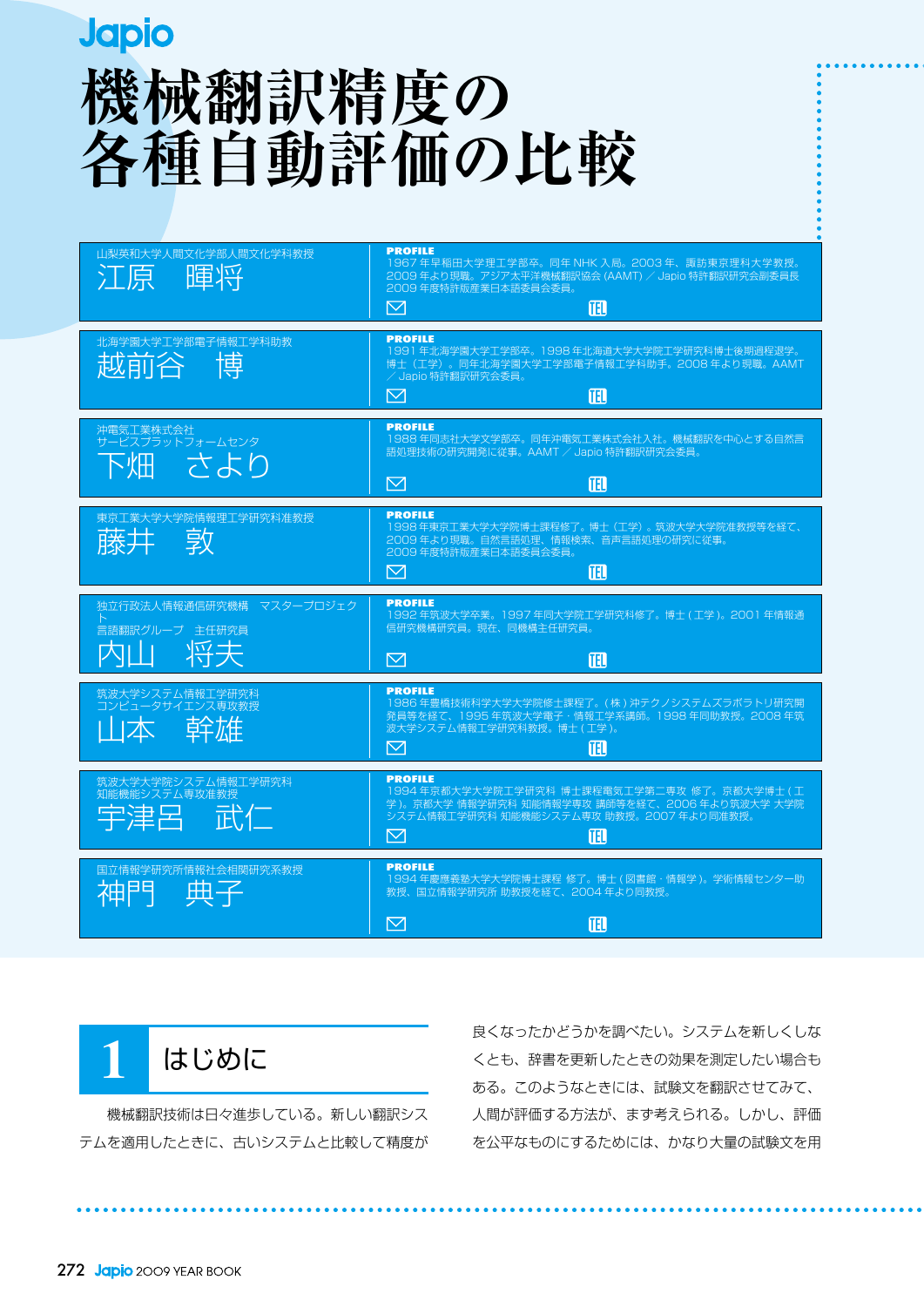# **Japio 機械翻訳精度の 各種自動評価の比較**

| 山梨英和大学人間文化学部人間文化学科教授<br>腫狀<br>江原                 | <b>PROFILE</b><br>1967 年早稲田大学理工学部卒。同年 NHK 入局。2003 年、諏訪東京理科大学教授。<br>2009年より現職。アジア太平洋機械翻訳協会 (AAMT) / Japio 特許翻訳研究会副委員長<br>2009年度特許版産業日本語委員会委員。<br>⊠<br>囮               |
|--------------------------------------------------|----------------------------------------------------------------------------------------------------------------------------------------------------------------------|
| 北海学園大学工学部電子情報工学科助教<br>越前谷博                       | <b>PROFILE</b><br>1991年北海学園大学工学部卒。1998年北海道大学大学院工学研究科博士後期過程退学。<br>博士(工学)。同年北海学園大学工学部電子情報工学科助手。2008年より現職。AAMT<br>/ Japio 特許翻訳研究会委員。<br>佃<br>$\boxtimes$                |
| 沖電気工業株式会社<br>サービスプラットフォームセンタ<br>きより              | <b>PROFILE</b><br>1988年同志社大学文学部卒。同年沖電気工業株式会社入社。機械翻訳を中心とする自然言<br>語処理技術の研究開発に従事。AAMT / Japio 特許翻訳研究会委員。<br>佃<br>M                                                      |
| 東京工業大学大学院情報理工学研究科准教授<br>敦<br>藤井                  | <b>PROFILE</b><br>1998年東京工業大学大学院博士課程修了。博士(工学)。筑波大学大学院准教授等を経て、<br>2009年より現職。自然言語処理、情報検索、音声言語処理の研究に従事。<br>2009年度特許版産業日本語委員会委員。<br>$\boxtimes$<br>ΠĐ                    |
|                                                  |                                                                                                                                                                      |
| 独立行政法人情報通信研究機構 マスタープロジェク<br>言語翻訳グループ 主任研究員<br>将夫 | <b>PROFILE</b><br>1992年筑波大学卒業。1997年同大学院工学研究科修了。博士(工学)。2001年情報通<br>信研究機構研究員。現在、同機構主任研究員。<br>⊠<br>佃                                                                    |
| 筑波大学システム情報工学研究科<br>コンピュータサイエンス専攻教授<br>山本 幹雄      | <b>PROFILE</b><br>1986 年豊橋技術科学大学大学院修士課程了。(株) 沖テクノシステムズラボラトリ研究開<br>発員等を経て、1995年筑波大学電子·情報工学系講師。1998年同助教授。2008年筑<br>波大学システム情報工学研究科教授。博士(工学)。<br>⊠<br>囬                  |
| 大学大学院システム情報工学研究科<br>知能機能システム専攻准教授<br>武仁<br>宇津呂   | <b>PROFILE</b><br>1994年京都大学大学院工学研究科 博士課程電気工学第二専攻 修了。京都大学博士(工<br>学 )。京都大学 情報学研究科 知能情報学専攻 講師等を経て、2006 年より筑波大学 大学院<br>システム情報工学研究科 知能機能システム専攻 助教授。2007年より同准教授。<br>⊠<br>佃 |



 機械翻訳技術は日々進歩している。新しい翻訳シス テムを適用したときに、古いシステムと比較して精度が 良くなったかどうかを調べたい。システムを新しくしな くとも、辞書を更新したときの効果を測定したい場合も ある。このようなときには、試験文を翻訳させてみて、 人間が評価する方法が、まず考えられる。しかし、評価 を公平なものにするためには、かなり大量の試験文を用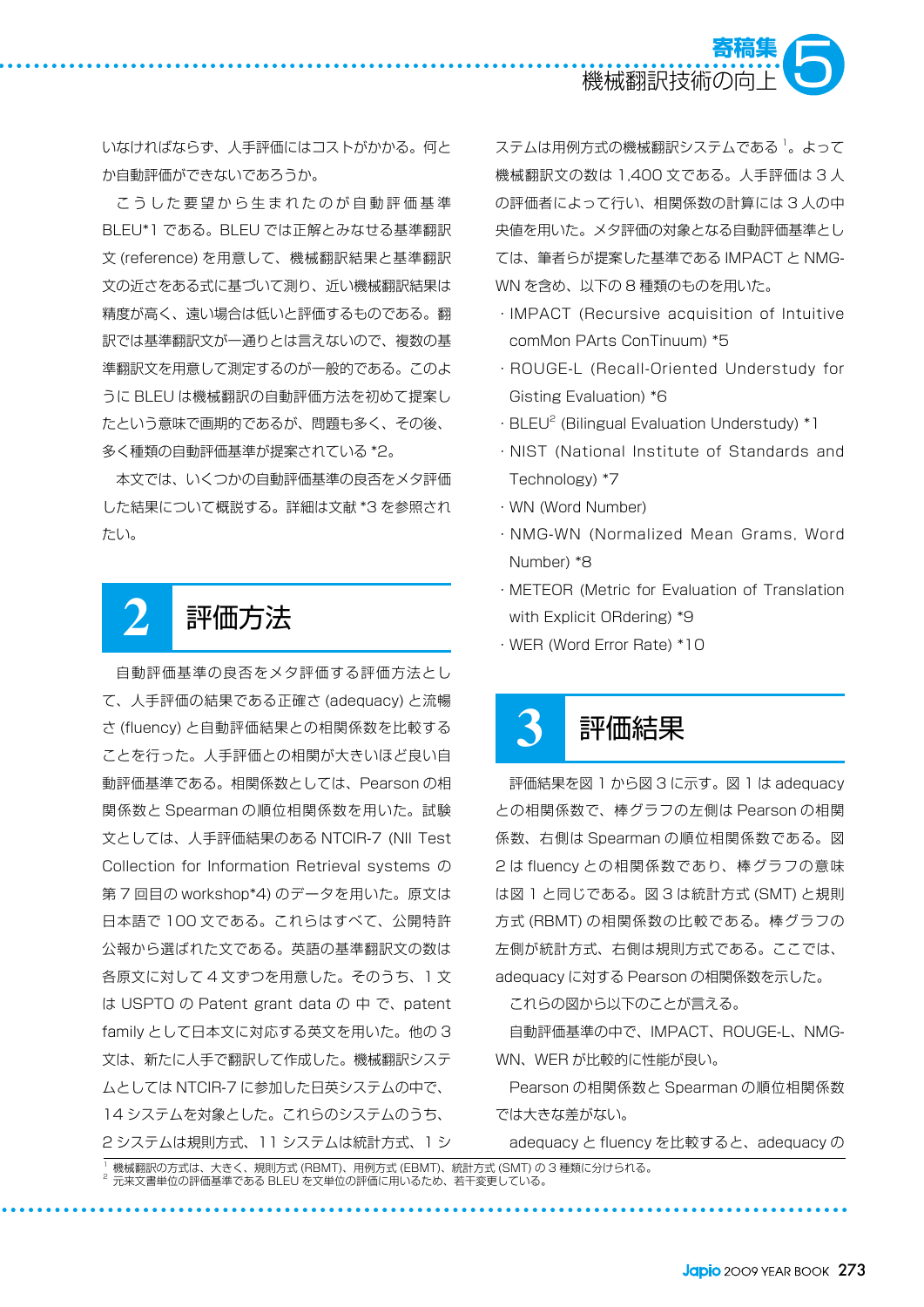

いなければならず、人手評価にはコストがかかる。何と か自動評価ができないであろうか。

こうした要望から生まれたのが自動評価基準 BLEU\*1 である。BLEU では正解とみなせる基準翻訳 文 (reference) を用意して、機械翻訳結果と基準翻訳 文の近さをある式に基づいて測り、近い機械翻訳結果は 精度が高く、遠い場合は低いと評価するものである。翻 訳では基準翻訳文が一通りとは言えないので、複数の基 準翻訳文を用意して測定するのが一般的である。このよ うに BLEU は機械翻訳の自動評価方法を初めて提案し たという意味で画期的であるが、問題も多く、その後、 多く種類の自動評価基準が提案されている \*2。

本文では、いくつかの自動評価基準の良否をメタ評価 した結果について概説する。詳細は文献 \*3 を参照され たい。

## **2** 評価方法

自動評価基準の良否をメタ評価する評価方法とし て、人手評価の結果である正確さ (adequacy) と流暢 さ (fluency) と自動評価結果との相関係数を比較する ことを行った。人手評価との相関が大きいほど良い自 動評価基準である。相関係数としては、Pearson の相 関係数と Spearman の順位相関係数を用いた。試験 文としては、人手評価結果のある NTCIR-7 (NII Test Collection for Information Retrieval systems の 第 7 回目の workshop\*4) のデータを用いた。原文は 日本語で 100 文である。これらはすべて、公開特許 公報から選ばれた文である。英語の基準翻訳文の数は 各原文に対して 4 文ずつを用意した。そのうち、1 文 は USPTO の Patent grant data の 中 で、patent family として日本文に対応する英文を用いた。他の 3 文は、新たに人手で翻訳して作成した。機械翻訳システ ムとしては NTCIR-7 に参加した日英システムの中で、 14 システムを対象とした。これらのシステムのうち、 2 システムは規則方式、11 システムは統計方式、1 シ

ステムは用例方式の機械翻訳システムである '。 よって 機械翻訳文の数は 1,400 文である。人手評価は 3 人 の評価者によって行い、相関係数の計算には 3 人の中 央値を用いた。メタ評価の対象となる自動評価基準とし ては、筆者らが提案した基準である IMPACT と NMG-WN を含め、以下の 8 種類のものを用いた。

- ・IMPACT (Recursive acquisition of Intuitive comMon PArts ConTinuum) \*5
- ・ROUGE-L (Recall-Oriented Understudy for Gisting Evaluation) \*6
- · BLEU<sup>2</sup> (Bilingual Evaluation Understudy) \*1
- ・NIST (National Institute of Standards and Technology) \*7
- ・WN (Word Number)
- ・NMG-WN (Normalized Mean Grams, Word Number) \*8
- ・METEOR (Metric for Evaluation of Translation with Explicit ORdering) \*9
- ・WER (Word Error Rate) \*10

### **3** 評価結果

評価結果を図 1 から図 3 に示す。図 1 は adequacy との相関係数で、棒グラフの左側は Pearson の相関 係数、右側は Spearman の順位相関係数である。図 2 は fluency との相関係数であり、棒グラフの意味 は図 1 と同じである。図 3 は統計方式 (SMT) と規則 方式 (RBMT) の相関係数の比較である。棒グラフの 左側が統計方式、右側は規則方式である。ここでは、 adequacy に対する Pearson の相関係数を示した。

これらの図から以下のことが言える。

自動評価基準の中で、IMPACT、ROUGE-L、NMG-WN、WER が比較的に性能が良い。

Pearson の相関係数と Spearman の順位相関係数 では大きな差がない。

adequacy と fluency を比較すると、adequacy の

1 機械翻訳の方式は、大きく、規則方式 (RBMT)、用例方式 (EBMT)、統計方式 (SMT) の 3 種類に分けられる。  $^2$  元来文書単位の評価基準である BLEU を文単位の評価に用いるため、若干変更している。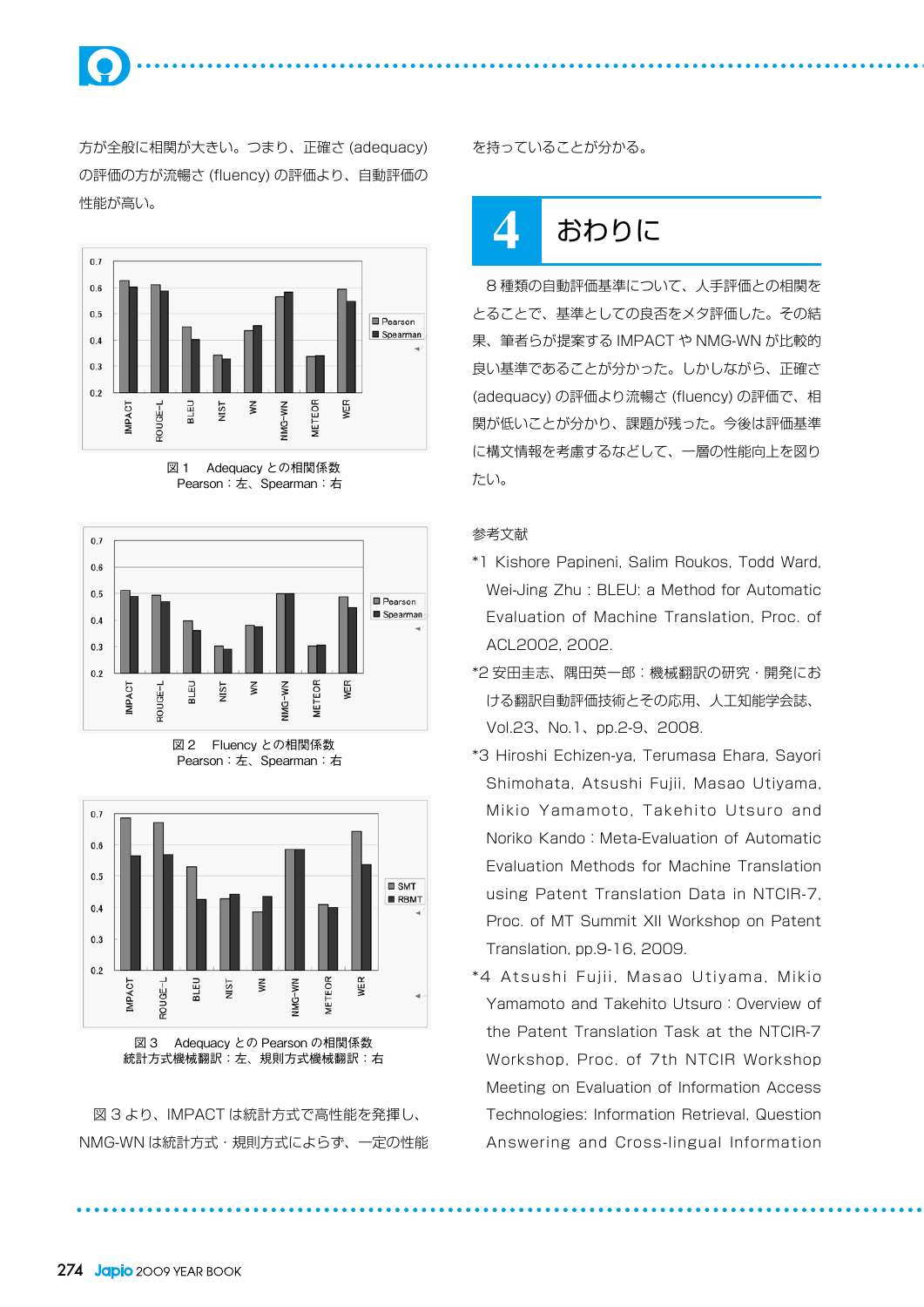

方が全般に相関が大きい。つまり、正確さ (adequacy) の評価の方が流暢さ (fluency) の評価より、自動評価の 性能が高い。



図 1 Adequacy との相関係数 Pearson:左、Spearman:右









図 3 より、IMPACT は統計方式で高性能を発揮し、 NMG-WN は統計方式・規則方式によらず、一定の性能 を持っていることが分かる。

# **4** おわりに

8 種類の自動評価基準について、人手評価との相関を とることで、基準としての良否をメタ評価した。その結 果、筆者らが提案する IMPACT や NMG-WN が比較的 良い基準であることが分かった。しかしながら、正確さ (adequacy) の評価より流暢さ (fluency) の評価で、相 関が低いことが分かり、課題が残った。今後は評価基準 に構文情報を考慮するなどして、一層の性能向上を図り たい。

#### 参考文献

- \*1 Kishore Papineni, Salim Roukos, Todd Ward, Wei-Jing Zhu : BLEU: a Method for Automatic Evaluation of Machine Translation, Proc. of ACL2002, 2002.
- \*2 安田圭志、隅田英一郎:機械翻訳の研究・開発にお ける翻訳自動評価技術とその応用、人工知能学会誌、 Vol.23、No.1、pp.2-9、2008.
- \*3 Hiroshi Echizen-ya, Terumasa Ehara, Sayori Shimohata, Atsushi Fujii, Masao Utiyama, Mikio Yamamoto, Takehito Utsuro and Noriko Kando: Meta-Evaluation of Automatic Evaluation Methods for Machine Translation using Patent Translation Data in NTCIR-7, Proc. of MT Summit XII Workshop on Patent Translation, pp.9-16, 2009.
- \*4 Atsushi Fujii, Masao Utiyama, Mikio Yamamoto and Takehito Utsuro: Overview of the Patent Translation Task at the NTCIR-7 Workshop, Proc. of 7th NTCIR Workshop Meeting on Evaluation of Information Access Technologies: Information Retrieval, Question Answering and Cross-lingual Information